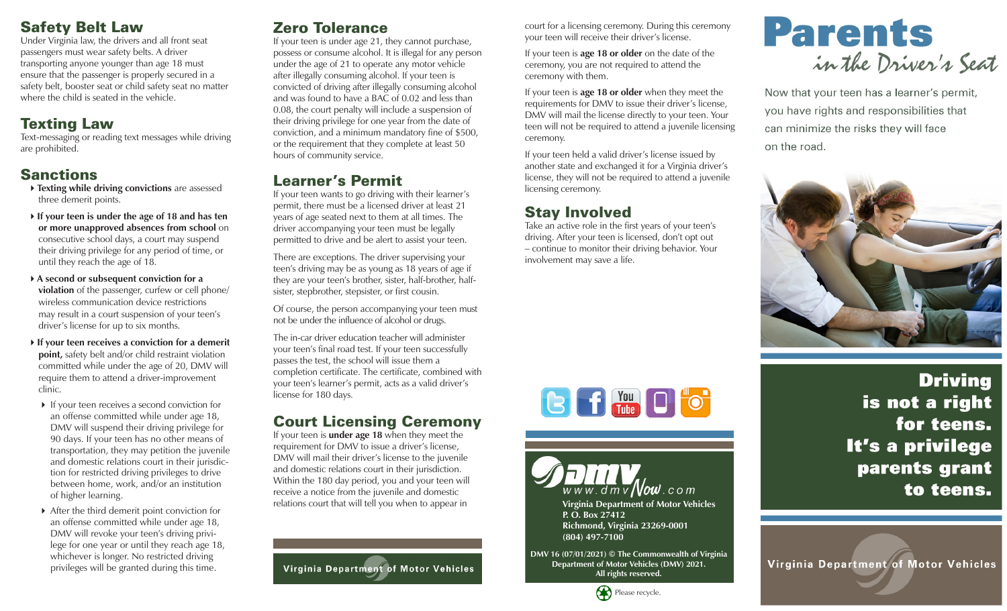## Safety Belt Law

Under Virginia law, the drivers and all front seat passengers must wear safety belts. A driver transporting anyone younger than age 18 must ensure that the passenger is properly secured in a safety belt, booster seat or child safety seat no matter where the child is seated in the vehicle.

# Texting Law

Text-messaging or reading text messages while driving are prohibited.

# Sanctions

- **Texting while driving convictions** are assessed three demerit points.
- **If your teen is under the age of 18 and has ten or more unapproved absences from school** on consecutive school days, a court may suspend their driving privilege for any period of time, or until they reach the age of 18.
- **A second or subsequent conviction for a violation** of the passenger, curfew or cell phone/ wireless communication device restrictions may result in a court suspension of your teen's driver's license for up to six months.
- **If your teen receives a conviction for a demerit point,** safety belt and/or child restraint violation committed while under the age of 20, DMV will require them to attend a driver-improvement clinic.
- If your teen receives a second conviction for an offense committed while under age 18, DMV will suspend their driving privilege for 90 days. If your teen has no other means of transportation, they may petition the juvenile and domestic relations court in their jurisdiction for restricted driving privileges to drive between home, work, and/or an institution of higher learning.
- After the third demerit point conviction for an offense committed while under age 18, DMV will revoke your teen's driving privilege for one year or until they reach age 18, whichever is longer. No restricted driving privileges will be granted during this time.

## Zero Tolerance

If your teen is under age 21, they cannot purchase, possess or consume alcohol. It is illegal for any person under the age of 21 to operate any motor vehicle after illegally consuming alcohol. If your teen is convicted of driving after illegally consuming alcohol and was found to have a BAC of 0.02 and less than 0.08, the court penalty will include a suspension of their driving privilege for one year from the date of conviction, and a minimum mandatory fine of \$500, or the requirement that they complete at least 50 hours of community service.

## Learner's Permit

If your teen wants to go driving with their learner's permit, there must be a licensed driver at least 21 years of age seated next to them at all times. The driver accompanying your teen must be legally permitted to drive and be alert to assist your teen.

There are exceptions. The driver supervising your teen's driving may be as young as 18 years of age if they are your teen's brother, sister, half-brother, halfsister, stepbrother, stepsister, or first cousin.

Of course, the person accompanying your teen must not be under the influence of alcohol or drugs.

The in-car driver education teacher will administer your teen's final road test. If your teen successfully passes the test, the school will issue them a completion certificate. The certificate, combined with your teen's learner's permit, acts as a valid driver's license for 180 days.

## Court Licensing Ceremony

If your teen is **under age 18** when they meet the requirement for DMV to issue a driver's license, DMV will mail their driver's license to the juvenile and domestic relations court in their jurisdiction. Within the 180 day period, you and your teen will receive a notice from the juvenile and domestic relations court that will tell you when to appear in

Virginia Department of Motor Vehicles

court for a licensing ceremony. During this ceremony your teen will receive their driver's license.

If your teen is **age 18 or older** on the date of the ceremony, you are not required to attend the ceremony with them.

If your teen is **age 18 or older** when they meet the requirements for DMV to issue their driver's license, DMV will mail the license directly to your teen. Your teen will not be required to attend a juvenile licensing ceremony.

If your teen held a valid driver's license issued by another state and exchanged it for a Virginia driver's license, they will not be required to attend a juvenile licensing ceremony.

# Stay Involved

Take an active role in the first years of your teen's driving. After your teen is licensed, don't opt out – continue to monitor their driving behavior. Your involvement may save a life.



Now that your teen has a learner's permit, you have rights and responsibilities that can minimize the risks they will face on the road.







**DMV 16 (07/01/2021) © The Commonwealth of Virginia Department of Motor Vehicles (DMV) 2021. All rights reserved.**



**Driving** is not a right for teens. It's a privilege parents grant to teens.

Virginia Department of Motor Vehicles